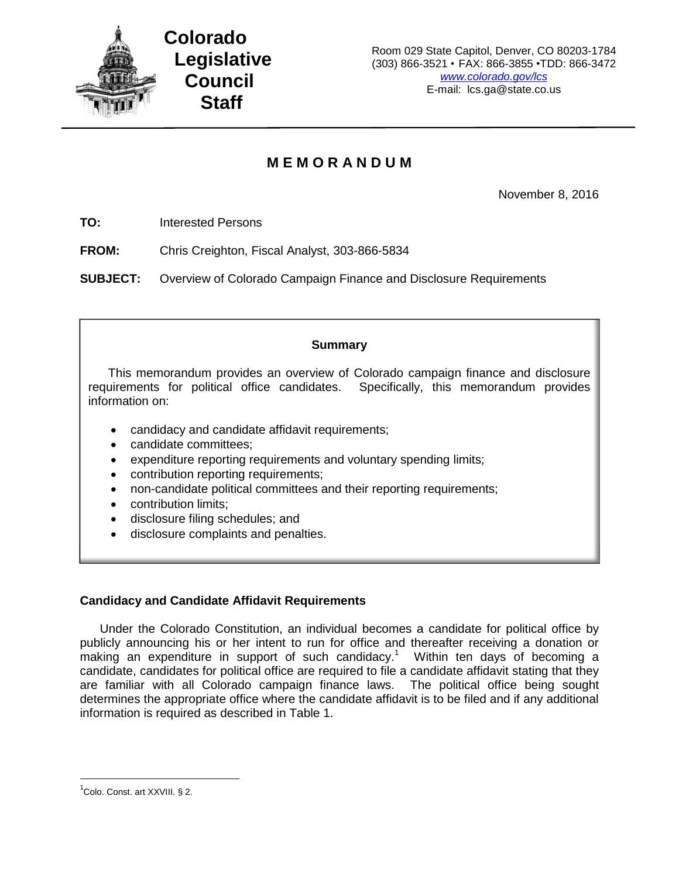

# **M E M O R A N D U M**

November 8, 2016

**TO:** Interested Persons

**FROM:** Chris Creighton, Fiscal Analyst, 303-866-5834

**SUBJECT:** Overview of Colorado Campaign Finance and Disclosure Requirements

# **Summary**

This memorandum provides an overview of Colorado campaign finance and disclosure requirements for political office candidates. Specifically, this memorandum provides information on:

- candidacy and candidate affidavit requirements;
- candidate committees;
- expenditure reporting requirements and voluntary spending limits;
- contribution reporting requirements;
- non-candidate political committees and their reporting requirements;
- contribution limits;
- disclosure filing schedules; and
- disclosure complaints and penalties.

# **Candidacy and Candidate Affidavit Requirements**

Under the Colorado Constitution, an individual becomes a candidate for political office by publicly announcing his or her intent to run for office and thereafter receiving a donation or making an expenditure in support of such candidacy.<sup>1</sup> Within ten days of becoming a candidate, candidates for political office are required to file a candidate affidavit stating that they are familiar with all Colorado campaign finance laws. The political office being sought determines the appropriate office where the candidate affidavit is to be filed and if any additional information is required as described in Table 1.

 $^1$ Colo. Const. art XXVIII. § 2.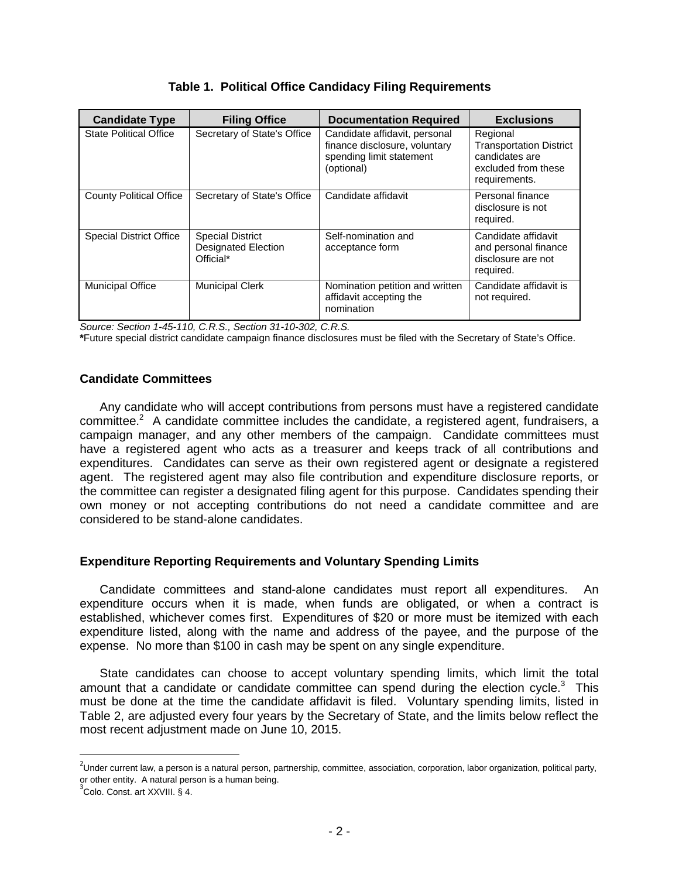| <b>Candidate Type</b>          | <b>Filing Office</b>                                               | <b>Documentation Required</b>                                                                            | <b>Exclusions</b>                                                                                    |
|--------------------------------|--------------------------------------------------------------------|----------------------------------------------------------------------------------------------------------|------------------------------------------------------------------------------------------------------|
| <b>State Political Office</b>  | Secretary of State's Office                                        | Candidate affidavit, personal<br>finance disclosure, voluntary<br>spending limit statement<br>(optional) | Regional<br><b>Transportation District</b><br>candidates are<br>excluded from these<br>requirements. |
| <b>County Political Office</b> | Secretary of State's Office                                        | Candidate affidavit                                                                                      | Personal finance<br>disclosure is not<br>required.                                                   |
| <b>Special District Office</b> | <b>Special District</b><br><b>Designated Election</b><br>Official* | Self-nomination and<br>acceptance form                                                                   | Candidate affidavit<br>and personal finance<br>disclosure are not<br>required.                       |
| <b>Municipal Office</b>        | <b>Municipal Clerk</b>                                             | Nomination petition and written<br>affidavit accepting the<br>nomination                                 | Candidate affidavit is<br>not required.                                                              |

# **Table 1. Political Office Candidacy Filing Requirements**

*Source: Section 1-45-110, C.R.S., Section 31-10-302, C.R.S.*

**\***Future special district candidate campaign finance disclosures must be filed with the Secretary of State's Office.

# **Candidate Committees**

Any candidate who will accept contributions from persons must have a registered candidate committee.<sup>2</sup> A candidate committee includes the candidate, a registered agent, fundraisers, a campaign manager, and any other members of the campaign. Candidate committees must have a registered agent who acts as a treasurer and keeps track of all contributions and expenditures. Candidates can serve as their own registered agent or designate a registered agent. The registered agent may also file contribution and expenditure disclosure reports, or the committee can register a designated filing agent for this purpose. Candidates spending their own money or not accepting contributions do not need a candidate committee and are considered to be stand-alone candidates.

# **Expenditure Reporting Requirements and Voluntary Spending Limits**

Candidate committees and stand-alone candidates must report all expenditures. An expenditure occurs when it is made, when funds are obligated, or when a contract is established, whichever comes first. Expenditures of \$20 or more must be itemized with each expenditure listed, along with the name and address of the payee, and the purpose of the expense. No more than \$100 in cash may be spent on any single expenditure.

State candidates can choose to accept voluntary spending limits, which limit the total amount that a candidate or candidate committee can spend during the election cycle. $3$  This must be done at the time the candidate affidavit is filed. Voluntary spending limits, listed in Table 2, are adjusted every four years by the Secretary of State, and the limits below reflect the most recent adjustment made on June 10, 2015.

<sup>&</sup>lt;sup>2</sup><br>Under current law, a person is a natural person, partnership, committee, association, corporation, labor organization, political party, or other entity. A natural person is a human being.

<sup>3</sup> Colo. Const. art XXVIII. § 4.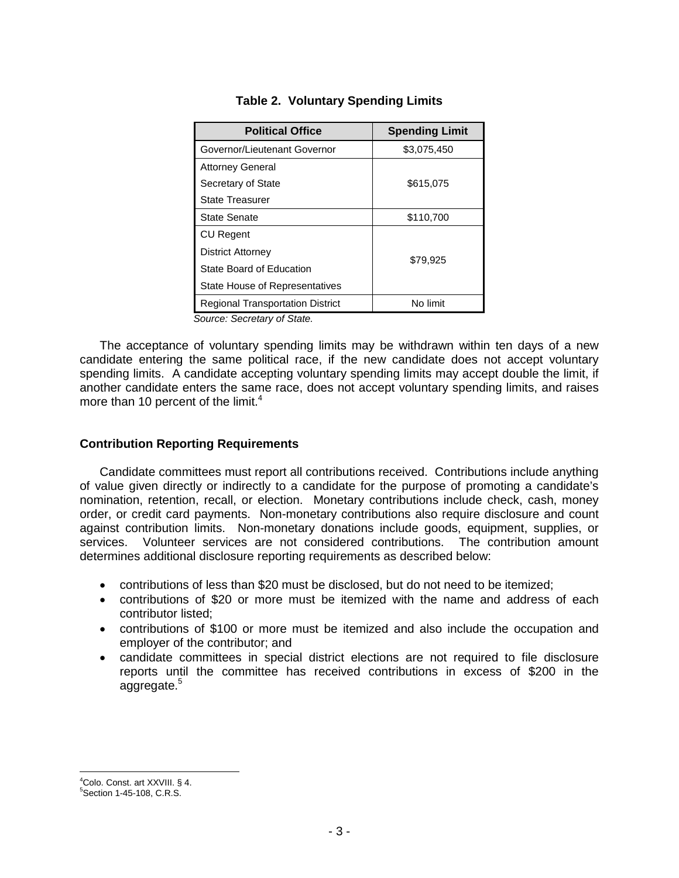| <b>Political Office</b>                 | <b>Spending Limit</b> |
|-----------------------------------------|-----------------------|
| Governor/Lieutenant Governor            | \$3,075,450           |
| <b>Attorney General</b>                 |                       |
| Secretary of State                      | \$615,075             |
| <b>State Treasurer</b>                  |                       |
| State Senate                            | \$110,700             |
| <b>CU Regent</b>                        |                       |
| <b>District Attorney</b>                |                       |
| State Board of Education                | \$79,925              |
| <b>State House of Representatives</b>   |                       |
| <b>Regional Transportation District</b> | No limit              |

## **Table 2. Voluntary Spending Limits**

*Source: Secretary of State.*

The acceptance of voluntary spending limits may be withdrawn within ten days of a new candidate entering the same political race, if the new candidate does not accept voluntary spending limits. A candidate accepting voluntary spending limits may accept double the limit, if another candidate enters the same race, does not accept voluntary spending limits, and raises more than 10 percent of the limit. $4$ 

#### **Contribution Reporting Requirements**

Candidate committees must report all contributions received. Contributions include anything of value given directly or indirectly to a candidate for the purpose of promoting a candidate's nomination, retention, recall, or election. Monetary contributions include check, cash, money order, or credit card payments. Non-monetary contributions also require disclosure and count against contribution limits. Non-monetary donations include goods, equipment, supplies, or services. Volunteer services are not considered contributions. The contribution amount determines additional disclosure reporting requirements as described below:

- contributions of less than \$20 must be disclosed, but do not need to be itemized;
- contributions of \$20 or more must be itemized with the name and address of each contributor listed;
- contributions of \$100 or more must be itemized and also include the occupation and employer of the contributor; and
- candidate committees in special district elections are not required to file disclosure reports until the committee has received contributions in excess of \$200 in the aggregate.<sup>5</sup>

<sup>4</sup>Colo. Const. art XXVIII. § 4.

<sup>5</sup>Section 1-45-108, C.R.S.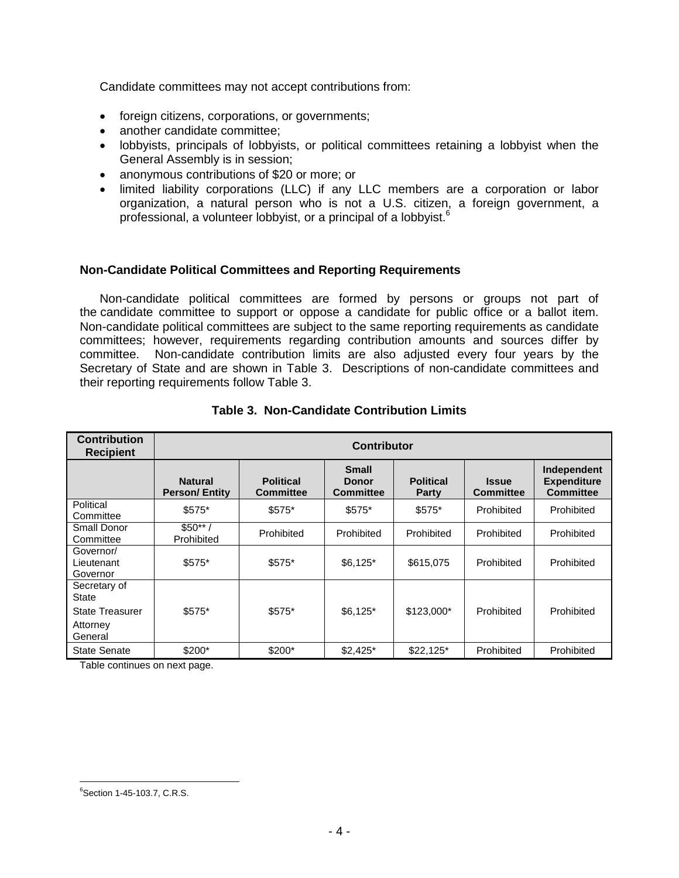Candidate committees may not accept contributions from:

- foreign citizens, corporations, or governments;
- another candidate committee;
- lobbyists, principals of lobbyists, or political committees retaining a lobbyist when the General Assembly is in session;
- anonymous contributions of \$20 or more; or
- limited liability corporations (LLC) if any LLC members are a corporation or labor organization, a natural person who is not a U.S. citizen, a foreign government, a professional, a volunteer lobbyist, or a principal of a lobbyist.<sup>6</sup>

## **Non-Candidate Political Committees and Reporting Requirements**

Non-candidate political committees are formed by persons or groups not part of the candidate committee to support or oppose a candidate for public office or a ballot item. Non-candidate political committees are subject to the same reporting requirements as candidate committees; however, requirements regarding contribution amounts and sources differ by committee. Non-candidate contribution limits are also adjusted every four years by the Secretary of State and are shown in Table 3. Descriptions of non-candidate committees and their reporting requirements follow Table 3.

| <b>Contribution</b><br><b>Recipient</b> | <b>Contributor</b>                     |                                      |                                    |                                  |                                  |                                                       |
|-----------------------------------------|----------------------------------------|--------------------------------------|------------------------------------|----------------------------------|----------------------------------|-------------------------------------------------------|
|                                         | <b>Natural</b><br><b>Person/Entity</b> | <b>Political</b><br><b>Committee</b> | <b>Small</b><br>Donor<br>Committee | <b>Political</b><br><b>Party</b> | <b>Issue</b><br><b>Committee</b> | Independent<br><b>Expenditure</b><br><b>Committee</b> |
| Political<br>Committee                  | $$575*$                                | $$575*$                              | \$575*                             | \$575*                           | Prohibited                       | Prohibited                                            |
| <b>Small Donor</b><br>Committee         | $$50**/$<br>Prohibited                 | Prohibited                           | Prohibited                         | Prohibited                       | Prohibited                       | Prohibited                                            |
| Governor/<br>Lieutenant<br>Governor     | $$575*$                                | $$575*$                              | $$6,125$ *                         | \$615,075                        | Prohibited                       | Prohibited                                            |
| Secretary of<br><b>State</b>            |                                        |                                      |                                    |                                  |                                  |                                                       |
| <b>State Treasurer</b>                  | $$575*$                                | \$575*                               | $$6,125$ *                         | \$123,000*                       | Prohibited                       | Prohibited                                            |
| Attorney<br>General                     |                                        |                                      |                                    |                                  |                                  |                                                       |
| <b>State Senate</b>                     | $$200*$                                | $$200*$                              | $$2,425$ *                         | $$22,125$ *                      | Prohibited                       | Prohibited                                            |

# **Table 3. Non-Candidate Contribution Limits**

Table continues on next page.

<sup>&</sup>lt;sup>6</sup>Section 1-45-103.7, C.R.S.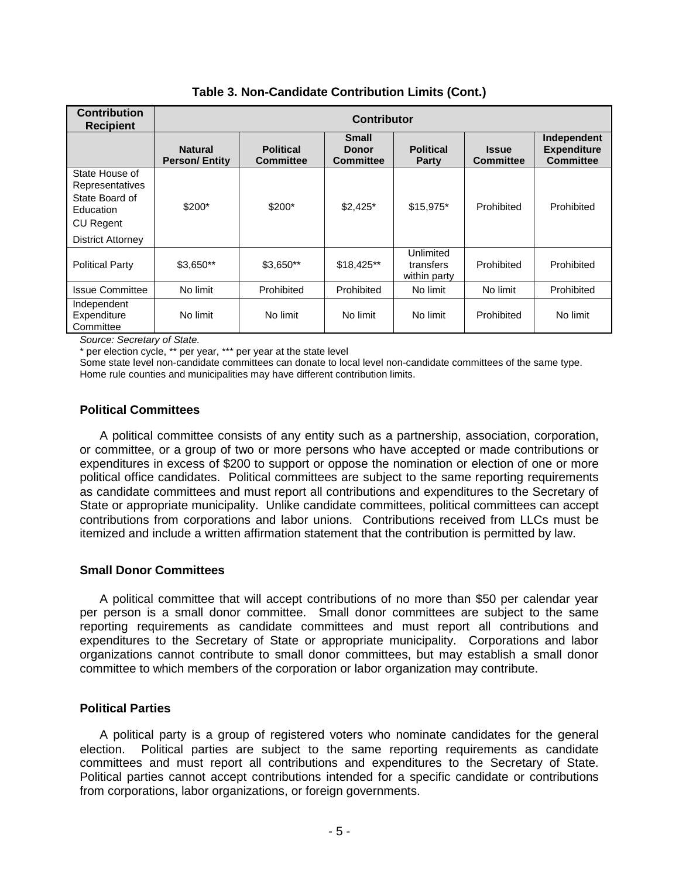| <b>Contribution</b><br><b>Recipient</b>                                                            | <b>Contributor</b>                     |                                      |                                           |                                        |                                  |                                                       |
|----------------------------------------------------------------------------------------------------|----------------------------------------|--------------------------------------|-------------------------------------------|----------------------------------------|----------------------------------|-------------------------------------------------------|
|                                                                                                    | <b>Natural</b><br><b>Person/Entity</b> | <b>Political</b><br><b>Committee</b> | <b>Small</b><br>Donor<br><b>Committee</b> | <b>Political</b><br>Party              | <b>Issue</b><br><b>Committee</b> | Independent<br><b>Expenditure</b><br><b>Committee</b> |
| State House of<br>Representatives<br>State Board of<br>Education<br>CU Regent<br>District Attorney | $$200*$                                | $$200*$                              | $$2,425$ *                                | $$15,975$ *                            | Prohibited                       | Prohibited                                            |
| <b>Political Party</b>                                                                             | $$3,650**$                             | $$3,650**$                           | $$18,425**$                               | Unlimited<br>transfers<br>within party | Prohibited                       | Prohibited                                            |
| <b>Issue Committee</b>                                                                             | No limit                               | Prohibited                           | Prohibited                                | No limit                               | No limit                         | Prohibited                                            |
| Independent<br>Expenditure<br>Committee                                                            | No limit                               | No limit                             | No limit                                  | No limit                               | Prohibited                       | No limit                                              |

**Table 3. Non-Candidate Contribution Limits (Cont.)**

*Source: Secretary of State.*

\* per election cycle, \*\* per year, \*\*\* per year at the state level

Some state level non-candidate committees can donate to local level non-candidate committees of the same type. Home rule counties and municipalities may have different contribution limits.

## **Political Committees**

A political committee consists of any entity such as a partnership, association, corporation, or committee, or a group of two or more persons who have accepted or made contributions or expenditures in excess of \$200 to support or oppose the nomination or election of one or more political office candidates. Political committees are subject to the same reporting requirements as candidate committees and must report all contributions and expenditures to the Secretary of State or appropriate municipality. Unlike candidate committees, political committees can accept contributions from corporations and labor unions. Contributions received from LLCs must be itemized and include a written affirmation statement that the contribution is permitted by law.

# **Small Donor Committees**

A political committee that will accept contributions of no more than \$50 per calendar year per person is a small donor committee. Small donor committees are subject to the same reporting requirements as candidate committees and must report all contributions and expenditures to the Secretary of State or appropriate municipality. Corporations and labor organizations cannot contribute to small donor committees, but may establish a small donor committee to which members of the corporation or labor organization may contribute.

#### **Political Parties**

A political party is a group of registered voters who nominate candidates for the general election. Political parties are subject to the same reporting requirements as candidate committees and must report all contributions and expenditures to the Secretary of State. Political parties cannot accept contributions intended for a specific candidate or contributions from corporations, labor organizations, or foreign governments.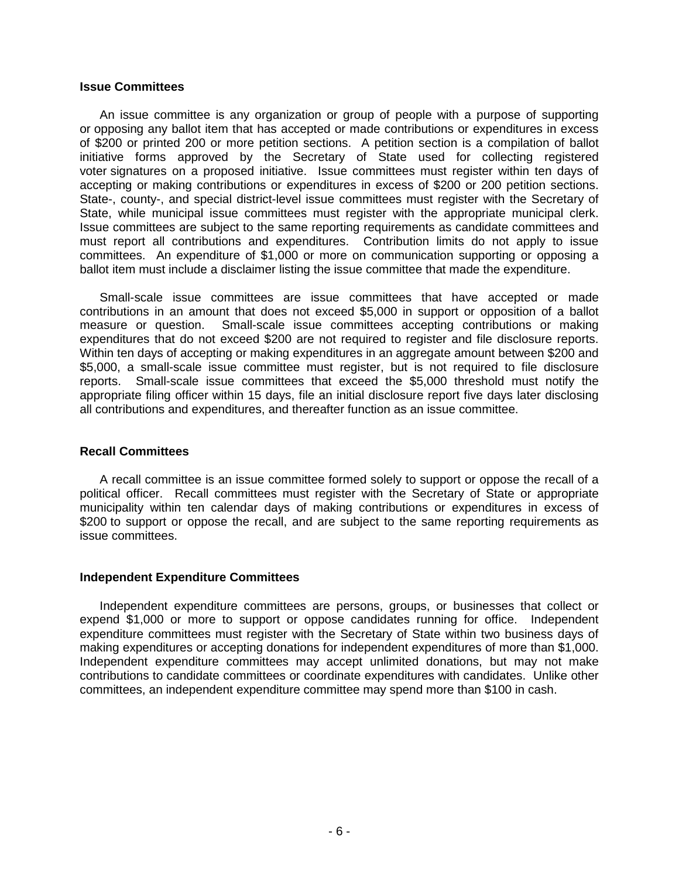#### **Issue Committees**

An issue committee is any organization or group of people with a purpose of supporting or opposing any ballot item that has accepted or made contributions or expenditures in excess of \$200 or printed 200 or more petition sections. A petition section is a compilation of ballot initiative forms approved by the Secretary of State used for collecting registered voter signatures on a proposed initiative. Issue committees must register within ten days of accepting or making contributions or expenditures in excess of \$200 or 200 petition sections. State-, county-, and special district-level issue committees must register with the Secretary of State, while municipal issue committees must register with the appropriate municipal clerk. Issue committees are subject to the same reporting requirements as candidate committees and must report all contributions and expenditures. Contribution limits do not apply to issue committees. An expenditure of \$1,000 or more on communication supporting or opposing a ballot item must include a disclaimer listing the issue committee that made the expenditure.

Small-scale issue committees are issue committees that have accepted or made contributions in an amount that does not exceed \$5,000 in support or opposition of a ballot measure or question. Small-scale issue committees accepting contributions or making expenditures that do not exceed \$200 are not required to register and file disclosure reports. Within ten days of accepting or making expenditures in an aggregate amount between \$200 and \$5,000, a small-scale issue committee must register, but is not required to file disclosure reports. Small-scale issue committees that exceed the \$5,000 threshold must notify the appropriate filing officer within 15 days, file an initial disclosure report five days later disclosing all contributions and expenditures, and thereafter function as an issue committee.

#### **Recall Committees**

A recall committee is an issue committee formed solely to support or oppose the recall of a political officer. Recall committees must register with the Secretary of State or appropriate municipality within ten calendar days of making contributions or expenditures in excess of \$200 to support or oppose the recall, and are subject to the same reporting requirements as issue committees.

#### **Independent Expenditure Committees**

Independent expenditure committees are persons, groups, or businesses that collect or expend \$1,000 or more to support or oppose candidates running for office. Independent expenditure committees must register with the Secretary of State within two business days of making expenditures or accepting donations for independent expenditures of more than \$1,000. Independent expenditure committees may accept unlimited donations, but may not make contributions to candidate committees or coordinate expenditures with candidates. Unlike other committees, an independent expenditure committee may spend more than \$100 in cash.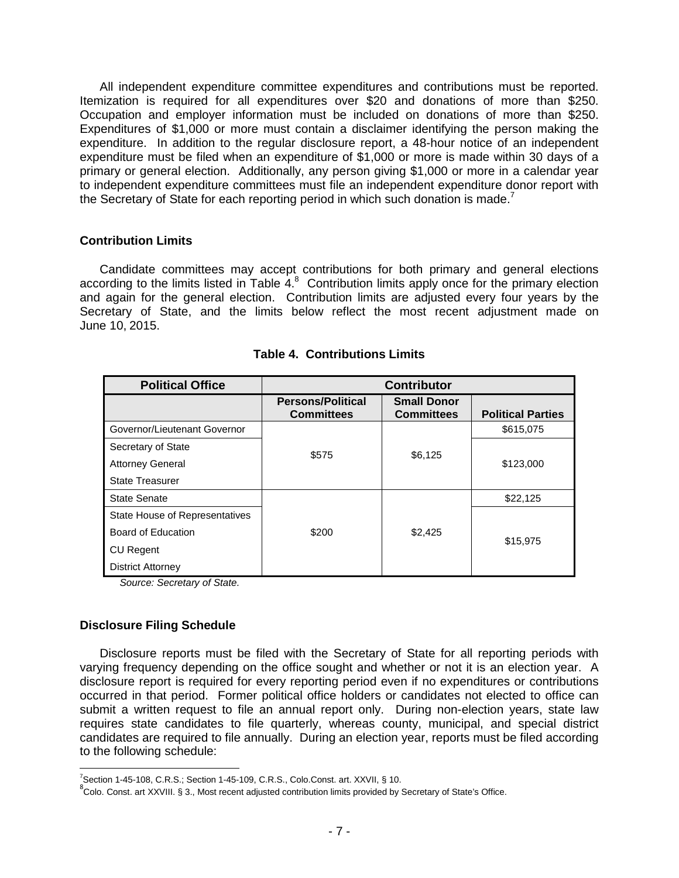All independent expenditure committee expenditures and contributions must be reported. Itemization is required for all expenditures over \$20 and donations of more than \$250. Occupation and employer information must be included on donations of more than \$250. Expenditures of \$1,000 or more must contain a disclaimer identifying the person making the expenditure. In addition to the regular disclosure report, a 48-hour notice of an independent expenditure must be filed when an expenditure of \$1,000 or more is made within 30 days of a primary or general election. Additionally, any person giving \$1,000 or more in a calendar year to independent expenditure committees must file an independent expenditure donor report with the Secretary of State for each reporting period in which such donation is made.<sup>7</sup>

#### **Contribution Limits**

Candidate committees may accept contributions for both primary and general elections according to the limits listed in Table  $4.8$  Contribution limits apply once for the primary election and again for the general election. Contribution limits are adjusted every four years by the Secretary of State, and the limits below reflect the most recent adjustment made on June 10, 2015.

| <b>Political Office</b>        | <b>Contributor</b>                            |                                         |                          |  |
|--------------------------------|-----------------------------------------------|-----------------------------------------|--------------------------|--|
|                                | <b>Persons/Political</b><br><b>Committees</b> | <b>Small Donor</b><br><b>Committees</b> | <b>Political Parties</b> |  |
| Governor/Lieutenant Governor   |                                               |                                         | \$615,075                |  |
| Secretary of State             | \$575                                         |                                         |                          |  |
| <b>Attorney General</b>        |                                               | \$6,125                                 | \$123,000                |  |
| <b>State Treasurer</b>         |                                               |                                         |                          |  |
| State Senate                   |                                               |                                         | \$22,125                 |  |
| State House of Representatives |                                               |                                         |                          |  |
| Board of Education             | \$200                                         | \$2,425                                 | \$15,975                 |  |
| <b>CU Regent</b>               |                                               |                                         |                          |  |
| <b>District Attorney</b>       |                                               |                                         |                          |  |

| <b>Table 4. Contributions Limits</b> |  |
|--------------------------------------|--|
|                                      |  |

*Source: Secretary of State.*

#### **Disclosure Filing Schedule**

Disclosure reports must be filed with the Secretary of State for all reporting periods with varying frequency depending on the office sought and whether or not it is an election year. A disclosure report is required for every reporting period even if no expenditures or contributions occurred in that period. Former political office holders or candidates not elected to office can submit a written request to file an annual report only. During non-election years, state law requires state candidates to file quarterly, whereas county, municipal, and special district candidates are required to file annually. During an election year, reports must be filed according to the following schedule:

 $7$ Section 1-45-108, C.R.S.; Section 1-45-109, C.R.S., Colo.Const. art. XXVII, § 10.

<sup>&</sup>lt;sup>8</sup>Colo. Const. art XXVIII. § 3., Most recent adjusted contribution limits provided by Secretary of State's Office.